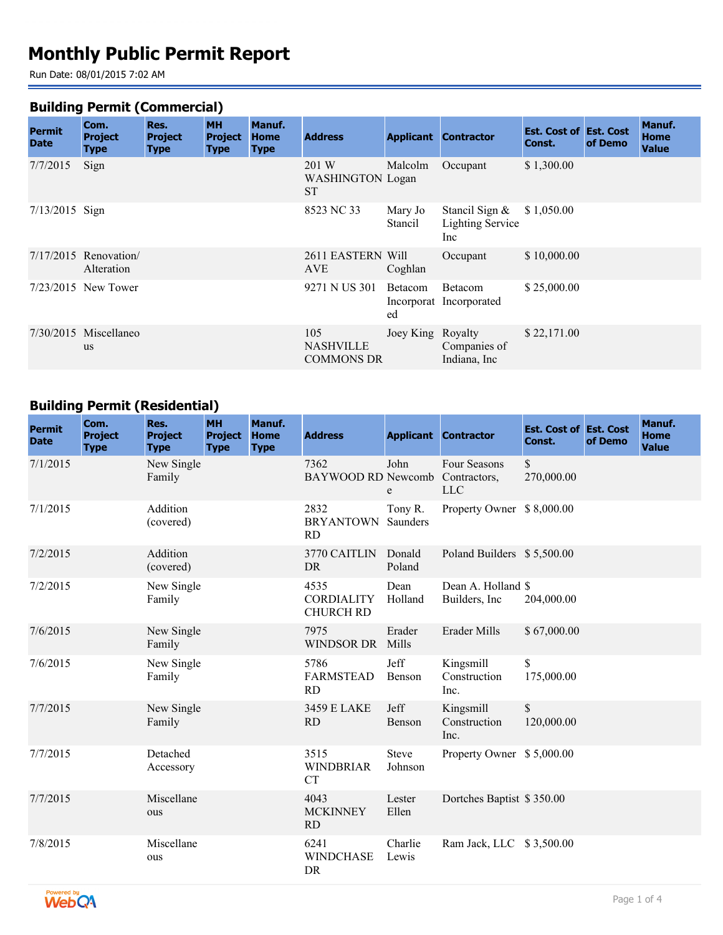# **Monthly Public Permit Report**

Run Date: 08/01/2015 7:02 AM

#### **Building Permit (Commercial)**

| <b>Permit</b><br><b>Date</b> | Com.<br><b>Project</b><br>Type       | Res.<br><b>Project</b><br><b>Type</b> | <b>MH</b><br><b>Project</b><br><b>Type</b> | Manuf.<br><b>Home</b><br><b>Type</b> | <b>Address</b>                                |                    | <b>Applicant Contractor</b>                      | <b>Est. Cost of Est. Cost</b><br>Const. | of Demo | Manuf.<br><b>Home</b><br><b>Value</b> |
|------------------------------|--------------------------------------|---------------------------------------|--------------------------------------------|--------------------------------------|-----------------------------------------------|--------------------|--------------------------------------------------|-----------------------------------------|---------|---------------------------------------|
| 7/7/2015                     | Sign                                 |                                       |                                            |                                      | 201 W<br><b>WASHINGTON Logan</b><br><b>ST</b> | Malcolm            | Occupant                                         | \$1,300.00                              |         |                                       |
| $7/13/2015$ Sign             |                                      |                                       |                                            |                                      | 8523 NC 33                                    | Mary Jo<br>Stancil | Stancil Sign &<br><b>Lighting Service</b><br>Inc | \$1,050.00                              |         |                                       |
|                              | $7/17/2015$ Renovation<br>Alteration |                                       |                                            |                                      | 2611 EASTERN Will<br>AVE                      | Coghlan            | Occupant                                         | \$10,000.00                             |         |                                       |
|                              | $7/23/2015$ New Tower                |                                       |                                            |                                      | 9271 N US 301                                 | Betacom<br>ed      | <b>Betacom</b><br>Incorporat Incorporated        | \$25,000.00                             |         |                                       |
|                              | $7/30/2015$ Miscellaneo<br><b>us</b> |                                       |                                            |                                      | 105<br><b>NASHVILLE</b><br><b>COMMONS DR</b>  | Joey King Royalty  | Companies of<br>Indiana, Inc.                    | \$22,171.00                             |         |                                       |

# **Building Permit (Residential)**

| <b>Permit</b><br><b>Date</b> | Com.<br><b>Project</b><br><b>Type</b> | Res.<br><b>Project</b><br><b>Type</b> | <b>MH</b><br><b>Project</b><br><b>Type</b> | Manuf.<br><b>Home</b><br><b>Type</b> | <b>Address</b>                                |                         | <b>Applicant Contractor</b>                | <b>Est. Cost of Est. Cost</b><br>Const. | of Demo | Manuf.<br><b>Home</b><br><b>Value</b> |
|------------------------------|---------------------------------------|---------------------------------------|--------------------------------------------|--------------------------------------|-----------------------------------------------|-------------------------|--------------------------------------------|-----------------------------------------|---------|---------------------------------------|
| 7/1/2015                     |                                       | New Single<br>Family                  |                                            |                                      | 7362<br><b>BAYWOOD RD Newcomb</b>             | John<br>e               | Four Seasons<br>Contractors,<br><b>LLC</b> | \$<br>270,000.00                        |         |                                       |
| 7/1/2015                     |                                       | Addition<br>(covered)                 |                                            |                                      | 2832<br><b>BRYANTOWN</b><br><b>RD</b>         | Tony R.<br>Saunders     | Property Owner \$8,000.00                  |                                         |         |                                       |
| 7/2/2015                     |                                       | Addition<br>(covered)                 |                                            |                                      | 3770 CAITLIN<br><b>DR</b>                     | Donald<br>Poland        | Poland Builders \$5,500.00                 |                                         |         |                                       |
| 7/2/2015                     |                                       | New Single<br>Family                  |                                            |                                      | 4535<br><b>CORDIALITY</b><br><b>CHURCH RD</b> | Dean<br>Holland         | Dean A. Holland \$<br>Builders, Inc.       | 204,000.00                              |         |                                       |
| 7/6/2015                     |                                       | New Single<br>Family                  |                                            |                                      | 7975<br><b>WINDSOR DR</b>                     | Erader<br>Mills         | Erader Mills                               | \$67,000.00                             |         |                                       |
| 7/6/2015                     |                                       | New Single<br>Family                  |                                            |                                      | 5786<br><b>FARMSTEAD</b><br><b>RD</b>         | Jeff<br>Benson          | Kingsmill<br>Construction<br>Inc.          | \$<br>175,000.00                        |         |                                       |
| 7/7/2015                     |                                       | New Single<br>Family                  |                                            |                                      | 3459 E LAKE<br><b>RD</b>                      | Jeff<br>Benson          | Kingsmill<br>Construction<br>Inc.          | \$<br>120,000.00                        |         |                                       |
| 7/7/2015                     |                                       | Detached<br>Accessory                 |                                            |                                      | 3515<br><b>WINDBRIAR</b><br><b>CT</b>         | <b>Steve</b><br>Johnson | Property Owner \$5,000.00                  |                                         |         |                                       |
| 7/7/2015                     |                                       | Miscellane<br>ous                     |                                            |                                      | 4043<br><b>MCKINNEY</b><br><b>RD</b>          | Lester<br>Ellen         | Dortches Baptist \$350.00                  |                                         |         |                                       |
| 7/8/2015                     |                                       | Miscellane<br>ous                     |                                            |                                      | 6241<br><b>WINDCHASE</b><br>DR                | Charlie<br>Lewis        | Ram Jack, LLC \$3,500.00                   |                                         |         |                                       |

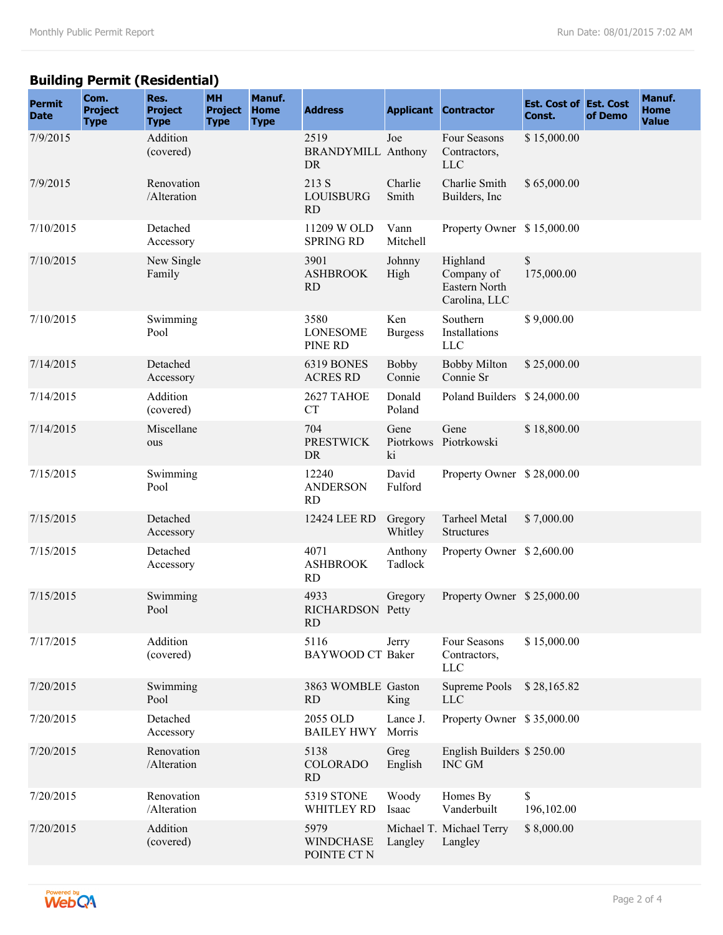# **Building Permit (Residential)**

| <b>Permit</b><br><b>Date</b> | Com.<br><b>Project</b><br><b>Type</b> | Res.<br><b>Project</b><br><b>Type</b> | <b>MH</b><br><b>Project</b><br><b>Type</b> | Manuf.<br><b>Home</b><br><b>Type</b> | <b>Address</b>                                 |                        | <b>Applicant Contractor</b>                              | <b>Est. Cost of Est. Cost</b><br>Const. | of Demo | Manuf.<br><b>Home</b><br><b>Value</b> |
|------------------------------|---------------------------------------|---------------------------------------|--------------------------------------------|--------------------------------------|------------------------------------------------|------------------------|----------------------------------------------------------|-----------------------------------------|---------|---------------------------------------|
| 7/9/2015                     |                                       | Addition<br>(covered)                 |                                            |                                      | 2519<br><b>BRANDYMILL Anthony</b><br><b>DR</b> | Joe                    | Four Seasons<br>Contractors,<br><b>LLC</b>               | \$15,000.00                             |         |                                       |
| 7/9/2015                     |                                       | Renovation<br>/Alteration             |                                            |                                      | 213 S<br>LOUISBURG<br><b>RD</b>                | Charlie<br>Smith       | Charlie Smith<br>Builders, Inc.                          | \$65,000.00                             |         |                                       |
| 7/10/2015                    |                                       | Detached<br>Accessory                 |                                            |                                      | 11209 W OLD<br><b>SPRING RD</b>                | Vann<br>Mitchell       | Property Owner \$15,000.00                               |                                         |         |                                       |
| 7/10/2015                    |                                       | New Single<br>Family                  |                                            |                                      | 3901<br><b>ASHBROOK</b><br><b>RD</b>           | Johnny<br>High         | Highland<br>Company of<br>Eastern North<br>Carolina, LLC | \$<br>175,000.00                        |         |                                       |
| 7/10/2015                    |                                       | Swimming<br>Pool                      |                                            |                                      | 3580<br><b>LONESOME</b><br>PINE RD             | Ken<br><b>Burgess</b>  | Southern<br>Installations<br><b>LLC</b>                  | \$9,000.00                              |         |                                       |
| 7/14/2015                    |                                       | Detached<br>Accessory                 |                                            |                                      | 6319 BONES<br><b>ACRES RD</b>                  | <b>Bobby</b><br>Connie | <b>Bobby Milton</b><br>Connie Sr                         | \$25,000.00                             |         |                                       |
| 7/14/2015                    |                                       | Addition<br>(covered)                 |                                            |                                      | 2627 TAHOE<br><b>CT</b>                        | Donald<br>Poland       | Poland Builders \$24,000.00                              |                                         |         |                                       |
| 7/14/2015                    |                                       | Miscellane<br>ous                     |                                            |                                      | 704<br><b>PRESTWICK</b><br><b>DR</b>           | Gene<br>ki             | Gene<br>Piotrkows Piotrkowski                            | \$18,800.00                             |         |                                       |
| 7/15/2015                    |                                       | Swimming<br>Pool                      |                                            |                                      | 12240<br><b>ANDERSON</b><br><b>RD</b>          | David<br>Fulford       | Property Owner \$28,000.00                               |                                         |         |                                       |
| 7/15/2015                    |                                       | Detached<br>Accessory                 |                                            |                                      | 12424 LEE RD                                   | Gregory<br>Whitley     | <b>Tarheel Metal</b><br>Structures                       | \$7,000.00                              |         |                                       |
| 7/15/2015                    |                                       | Detached<br>Accessory                 |                                            |                                      | 4071<br><b>ASHBROOK</b><br><b>RD</b>           | Anthony<br>Tadlock     | Property Owner \$2,600.00                                |                                         |         |                                       |
| 7/15/2015                    |                                       | Swimming<br>Pool                      |                                            |                                      | 4933<br>RICHARDSON Petty<br>RD                 | Gregory                | Property Owner \$25,000.00                               |                                         |         |                                       |
| 7/17/2015                    |                                       | Addition<br>(covered)                 |                                            |                                      | 5116<br><b>BAYWOOD CT Baker</b>                | Jerry                  | Four Seasons<br>Contractors,<br><b>LLC</b>               | \$15,000.00                             |         |                                       |
| 7/20/2015                    |                                       | Swimming<br>Pool                      |                                            |                                      | 3863 WOMBLE Gaston<br><b>RD</b>                | King                   | Supreme Pools<br><b>LLC</b>                              | \$28,165.82                             |         |                                       |
| 7/20/2015                    |                                       | Detached<br>Accessory                 |                                            |                                      | 2055 OLD<br><b>BAILEY HWY</b>                  | Lance J.<br>Morris     | Property Owner \$35,000.00                               |                                         |         |                                       |
| 7/20/2015                    |                                       | Renovation<br>/Alteration             |                                            |                                      | 5138<br><b>COLORADO</b><br><b>RD</b>           | Greg<br>English        | English Builders \$250.00<br><b>INC GM</b>               |                                         |         |                                       |
| 7/20/2015                    |                                       | Renovation<br>/Alteration             |                                            |                                      | <b>5319 STONE</b><br>WHITLEY RD                | Woody<br>Isaac         | Homes By<br>Vanderbuilt                                  | \$<br>196,102.00                        |         |                                       |
| 7/20/2015                    |                                       | Addition<br>(covered)                 |                                            |                                      | 5979<br><b>WINDCHASE</b><br>POINTE CT N        | Langley                | Michael T. Michael Terry<br>Langley                      | \$8,000.00                              |         |                                       |

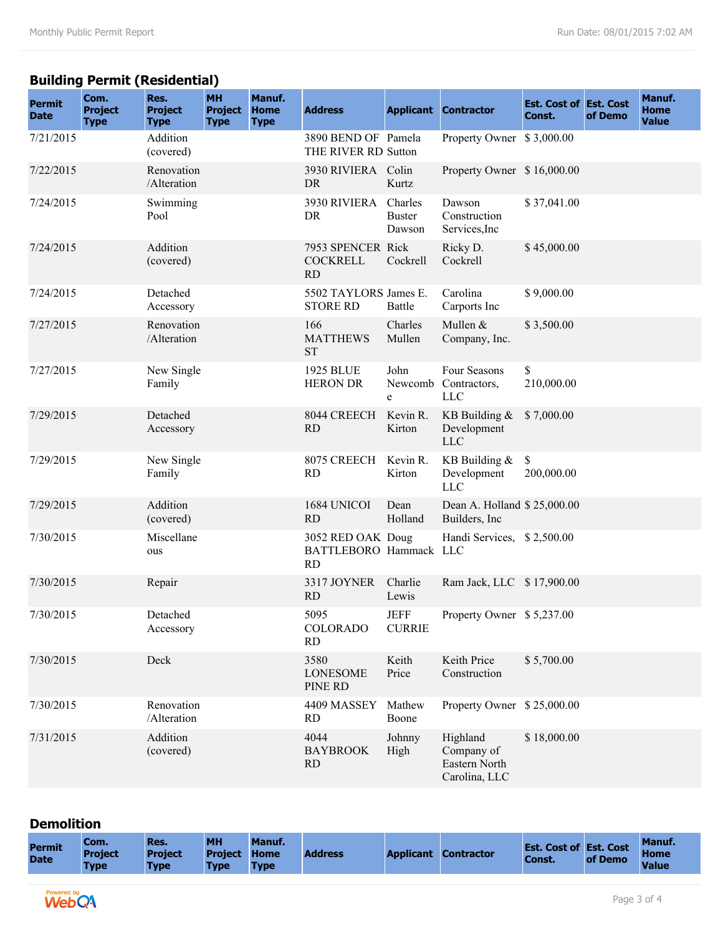## **Building Permit (Residential)**

| <b>Permit</b><br><b>Date</b> | Com.<br><b>Project</b><br><b>Type</b> | Res.<br><b>Project</b><br><b>Type</b> | <b>MH</b><br><b>Project</b><br><b>Type</b> | Manuf.<br>Home<br><b>Type</b> | <b>Address</b>                                    |                              | <b>Applicant Contractor</b>                              | <b>Est. Cost of Est. Cost</b><br>Const. | of Demo | Manuf.<br>Home<br><b>Value</b> |
|------------------------------|---------------------------------------|---------------------------------------|--------------------------------------------|-------------------------------|---------------------------------------------------|------------------------------|----------------------------------------------------------|-----------------------------------------|---------|--------------------------------|
| 7/21/2015                    |                                       | Addition<br>(covered)                 |                                            |                               | 3890 BEND OF Pamela<br>THE RIVER RD Sutton        |                              | Property Owner \$3,000.00                                |                                         |         |                                |
| 7/22/2015                    |                                       | Renovation<br>/Alteration             |                                            |                               | 3930 RIVIERA Colin<br>DR                          | Kurtz                        | Property Owner \$16,000.00                               |                                         |         |                                |
| 7/24/2015                    |                                       | Swimming<br>Pool                      |                                            |                               | 3930 RIVIERA Charles<br>DR                        | <b>Buster</b><br>Dawson      | Dawson<br>Construction<br>Services, Inc                  | \$37,041.00                             |         |                                |
| 7/24/2015                    |                                       | Addition<br>(covered)                 |                                            |                               | 7953 SPENCER Rick<br><b>COCKRELL</b><br><b>RD</b> | Cockrell                     | Ricky D.<br>Cockrell                                     | \$45,000.00                             |         |                                |
| 7/24/2015                    |                                       | Detached<br>Accessory                 |                                            |                               | 5502 TAYLORS James E.<br><b>STORE RD</b>          | Battle                       | Carolina<br>Carports Inc                                 | \$9,000.00                              |         |                                |
| 7/27/2015                    |                                       | Renovation<br>/Alteration             |                                            |                               | 166<br><b>MATTHEWS</b><br><b>ST</b>               | Charles<br>Mullen            | Mullen &<br>Company, Inc.                                | \$3,500.00                              |         |                                |
| 7/27/2015                    |                                       | New Single<br>Family                  |                                            |                               | <b>1925 BLUE</b><br><b>HERON DR</b>               | John<br>Newcomb<br>e         | Four Seasons<br>Contractors,<br><b>LLC</b>               | \$<br>210,000.00                        |         |                                |
| 7/29/2015                    |                                       | Detached<br>Accessory                 |                                            |                               | 8044 CREECH<br><b>RD</b>                          | Kevin R.<br>Kirton           | KB Building $&$<br>Development<br><b>LLC</b>             | \$7,000.00                              |         |                                |
| 7/29/2015                    |                                       | New Single<br>Family                  |                                            |                               | 8075 CREECH<br><b>RD</b>                          | Kevin R.<br>Kirton           | KB Building &<br>Development<br><b>LLC</b>               | \$<br>200,000.00                        |         |                                |
| 7/29/2015                    |                                       | Addition<br>(covered)                 |                                            |                               | 1684 UNICOI<br>RD                                 | Dean<br>Holland              | Dean A. Holland \$25,000.00<br>Builders, Inc.            |                                         |         |                                |
| 7/30/2015                    |                                       | Miscellane<br>ous                     |                                            |                               | 3052 RED OAK Doug<br>BATTLEBORO Hammack LLC<br>RD |                              | Handi Services, \$2,500.00                               |                                         |         |                                |
| 7/30/2015                    |                                       | Repair                                |                                            |                               | 3317 JOYNER<br>RD                                 | Charlie<br>Lewis             | Ram Jack, LLC \$17,900.00                                |                                         |         |                                |
| 7/30/2015                    |                                       | Detached<br>Accessory                 |                                            |                               | 5095<br><b>COLORADO</b><br><b>RD</b>              | <b>JEFF</b><br><b>CURRIE</b> | Property Owner \$5,237.00                                |                                         |         |                                |
| 7/30/2015                    |                                       | Deck                                  |                                            |                               | 3580<br><b>LONESOME</b><br>PINE RD                | Keith<br>Price               | Keith Price<br>Construction                              | \$5,700.00                              |         |                                |
| 7/30/2015                    |                                       | Renovation<br>/Alteration             |                                            |                               | 4409 MASSEY<br><b>RD</b>                          | Mathew<br>Boone              | Property Owner \$25,000.00                               |                                         |         |                                |
| 7/31/2015                    |                                       | Addition<br>(covered)                 |                                            |                               | 4044<br><b>BAYBROOK</b><br><b>RD</b>              | Johnny<br>High               | Highland<br>Company of<br>Eastern North<br>Carolina, LLC | \$18,000.00                             |         |                                |

#### **Demolition**

| <b>Permit</b><br><b>Date</b> | <b>TCom.</b><br><b>Project</b><br><b>Type</b> | Res.<br><b>Project</b><br><b>Type</b> | <b>MH</b><br><b>Project Home</b><br><b>Type</b> | Manuf.<br><b>Type</b> | <b>Address</b> | <b>Applicant</b> | <b>Contractor</b> | <b>Est. Cost of Est. Cost</b><br>Const. | of Demo | <b>Manuf.</b><br><b>Home</b><br><b>Value</b> |  |
|------------------------------|-----------------------------------------------|---------------------------------------|-------------------------------------------------|-----------------------|----------------|------------------|-------------------|-----------------------------------------|---------|----------------------------------------------|--|
|                              |                                               |                                       |                                                 |                       |                |                  |                   |                                         |         |                                              |  |
| <b>Powered bu</b>            |                                               |                                       |                                                 |                       |                |                  |                   |                                         |         |                                              |  |